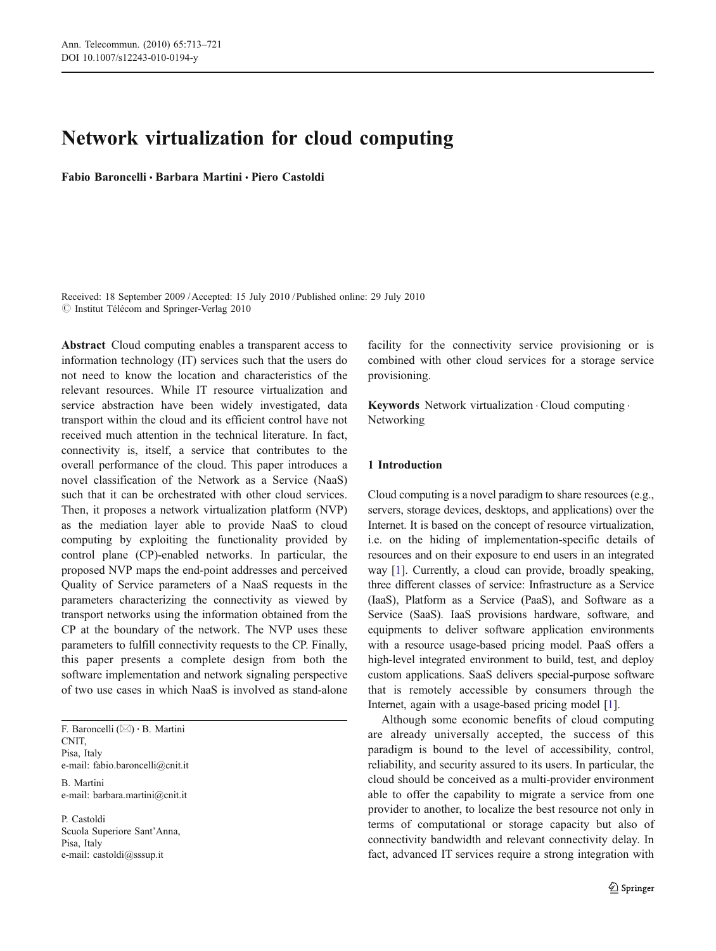# Network virtualization for cloud computing

Fabio Baroncelli & Barbara Martini & Piero Castoldi

Received: 18 September 2009 /Accepted: 15 July 2010 / Published online: 29 July 2010  $\oslash$  Institut Télécom and Springer-Verlag 2010

Abstract Cloud computing enables a transparent access to information technology (IT) services such that the users do not need to know the location and characteristics of the relevant resources. While IT resource virtualization and service abstraction have been widely investigated, data transport within the cloud and its efficient control have not received much attention in the technical literature. In fact, connectivity is, itself, a service that contributes to the overall performance of the cloud. This paper introduces a novel classification of the Network as a Service (NaaS) such that it can be orchestrated with other cloud services. Then, it proposes a network virtualization platform (NVP) as the mediation layer able to provide NaaS to cloud computing by exploiting the functionality provided by control plane (CP)-enabled networks. In particular, the proposed NVP maps the end-point addresses and perceived Quality of Service parameters of a NaaS requests in the parameters characterizing the connectivity as viewed by transport networks using the information obtained from the CP at the boundary of the network. The NVP uses these parameters to fulfill connectivity requests to the CP. Finally, this paper presents a complete design from both the software implementation and network signaling perspective of two use cases in which NaaS is involved as stand-alone

F. Baroncelli  $(\boxtimes) \cdot$  B. Martini CNIT, Pisa, Italy e-mail: fabio.baroncelli@cnit.it B. Martini

e-mail: barbara.martini@cnit.it

P. Castoldi Scuola Superiore Sant'Anna, Pisa, Italy e-mail: castoldi@sssup.it

facility for the connectivity service provisioning or is combined with other cloud services for a storage service provisioning.

Keywords Network virtualization . Cloud computing . Networking

# 1 Introduction

Cloud computing is a novel paradigm to share resources (e.g., servers, storage devices, desktops, and applications) over the Internet. It is based on the concept of resource virtualization, i.e. on the hiding of implementation-specific details of resources and on their exposure to end users in an integrated way [\[1\]](#page-8-0). Currently, a cloud can provide, broadly speaking, three different classes of service: Infrastructure as a Service (IaaS), Platform as a Service (PaaS), and Software as a Service (SaaS). IaaS provisions hardware, software, and equipments to deliver software application environments with a resource usage-based pricing model. PaaS offers a high-level integrated environment to build, test, and deploy custom applications. SaaS delivers special-purpose software that is remotely accessible by consumers through the Internet, again with a usage-based pricing model [[1](#page-8-0)].

Although some economic benefits of cloud computing are already universally accepted, the success of this paradigm is bound to the level of accessibility, control, reliability, and security assured to its users. In particular, the cloud should be conceived as a multi-provider environment able to offer the capability to migrate a service from one provider to another, to localize the best resource not only in terms of computational or storage capacity but also of connectivity bandwidth and relevant connectivity delay. In fact, advanced IT services require a strong integration with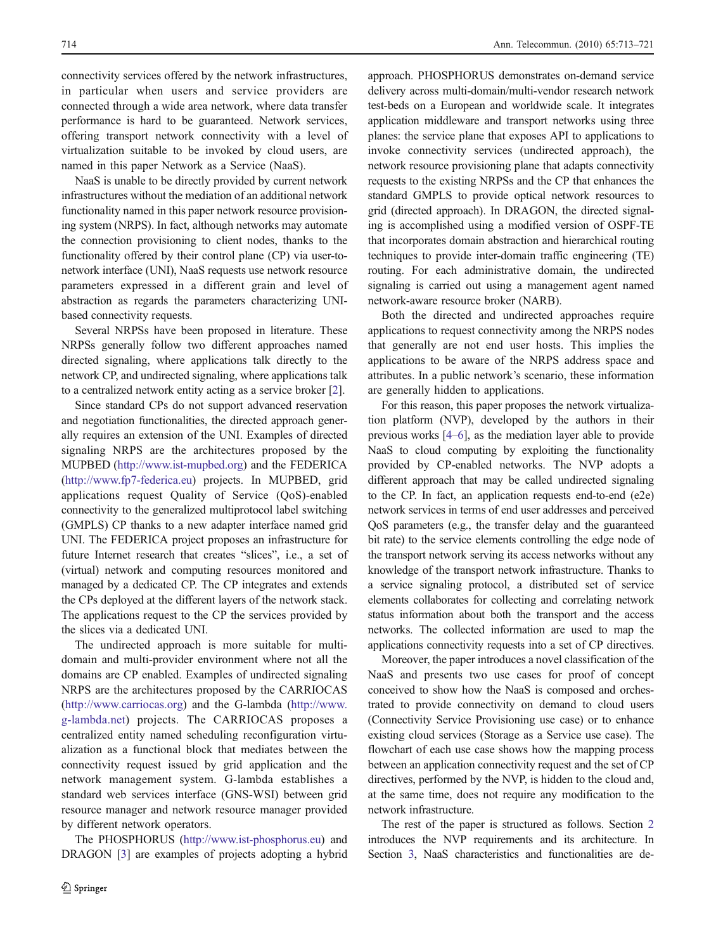connectivity services offered by the network infrastructures, in particular when users and service providers are connected through a wide area network, where data transfer performance is hard to be guaranteed. Network services, offering transport network connectivity with a level of virtualization suitable to be invoked by cloud users, are named in this paper Network as a Service (NaaS).

NaaS is unable to be directly provided by current network infrastructures without the mediation of an additional network functionality named in this paper network resource provisioning system (NRPS). In fact, although networks may automate the connection provisioning to client nodes, thanks to the functionality offered by their control plane (CP) via user-tonetwork interface (UNI), NaaS requests use network resource parameters expressed in a different grain and level of abstraction as regards the parameters characterizing UNIbased connectivity requests.

Several NRPSs have been proposed in literature. These NRPSs generally follow two different approaches named directed signaling, where applications talk directly to the network CP, and undirected signaling, where applications talk to a centralized network entity acting as a service broker [[2\]](#page-8-0).

Since standard CPs do not support advanced reservation and negotiation functionalities, the directed approach generally requires an extension of the UNI. Examples of directed signaling NRPS are the architectures proposed by the MUPBED (<http://www.ist-mupbed.org>) and the FEDERICA [\(http://www.fp7-federica.eu\)](http://www.fp7-federica.eu) projects. In MUPBED, grid applications request Quality of Service (QoS)-enabled connectivity to the generalized multiprotocol label switching (GMPLS) CP thanks to a new adapter interface named grid UNI. The FEDERICA project proposes an infrastructure for future Internet research that creates "slices", i.e., a set of (virtual) network and computing resources monitored and managed by a dedicated CP. The CP integrates and extends the CPs deployed at the different layers of the network stack. The applications request to the CP the services provided by the slices via a dedicated UNI.

The undirected approach is more suitable for multidomain and multi-provider environment where not all the domains are CP enabled. Examples of undirected signaling NRPS are the architectures proposed by the CARRIOCAS [\(http://www.carriocas.org](http://www.carriocas.org)) and the G-lambda [\(http://www.](http://www.g-lambda.net) [g-lambda.net](http://www.g-lambda.net)) projects. The CARRIOCAS proposes a centralized entity named scheduling reconfiguration virtualization as a functional block that mediates between the connectivity request issued by grid application and the network management system. G-lambda establishes a standard web services interface (GNS-WSI) between grid resource manager and network resource manager provided by different network operators.

The PHOSPHORUS (<http://www.ist-phosphorus.eu>) and DRAGON [\[3](#page-8-0)] are examples of projects adopting a hybrid approach. PHOSPHORUS demonstrates on-demand service delivery across multi-domain/multi-vendor research network test-beds on a European and worldwide scale. It integrates application middleware and transport networks using three planes: the service plane that exposes API to applications to invoke connectivity services (undirected approach), the network resource provisioning plane that adapts connectivity requests to the existing NRPSs and the CP that enhances the standard GMPLS to provide optical network resources to grid (directed approach). In DRAGON, the directed signaling is accomplished using a modified version of OSPF-TE that incorporates domain abstraction and hierarchical routing techniques to provide inter-domain traffic engineering (TE) routing. For each administrative domain, the undirected signaling is carried out using a management agent named network-aware resource broker (NARB).

Both the directed and undirected approaches require applications to request connectivity among the NRPS nodes that generally are not end user hosts. This implies the applications to be aware of the NRPS address space and attributes. In a public network's scenario, these information are generally hidden to applications.

For this reason, this paper proposes the network virtualization platform (NVP), developed by the authors in their previous works [\[4](#page-8-0)–[6\]](#page-8-0), as the mediation layer able to provide NaaS to cloud computing by exploiting the functionality provided by CP-enabled networks. The NVP adopts a different approach that may be called undirected signaling to the CP. In fact, an application requests end-to-end (e2e) network services in terms of end user addresses and perceived QoS parameters (e.g., the transfer delay and the guaranteed bit rate) to the service elements controlling the edge node of the transport network serving its access networks without any knowledge of the transport network infrastructure. Thanks to a service signaling protocol, a distributed set of service elements collaborates for collecting and correlating network status information about both the transport and the access networks. The collected information are used to map the applications connectivity requests into a set of CP directives.

Moreover, the paper introduces a novel classification of the NaaS and presents two use cases for proof of concept conceived to show how the NaaS is composed and orchestrated to provide connectivity on demand to cloud users (Connectivity Service Provisioning use case) or to enhance existing cloud services (Storage as a Service use case). The flowchart of each use case shows how the mapping process between an application connectivity request and the set of CP directives, performed by the NVP, is hidden to the cloud and, at the same time, does not require any modification to the network infrastructure.

The rest of the paper is structured as follows. Section [2](#page-2-0) introduces the NVP requirements and its architecture. In Section [3,](#page-4-0) NaaS characteristics and functionalities are de-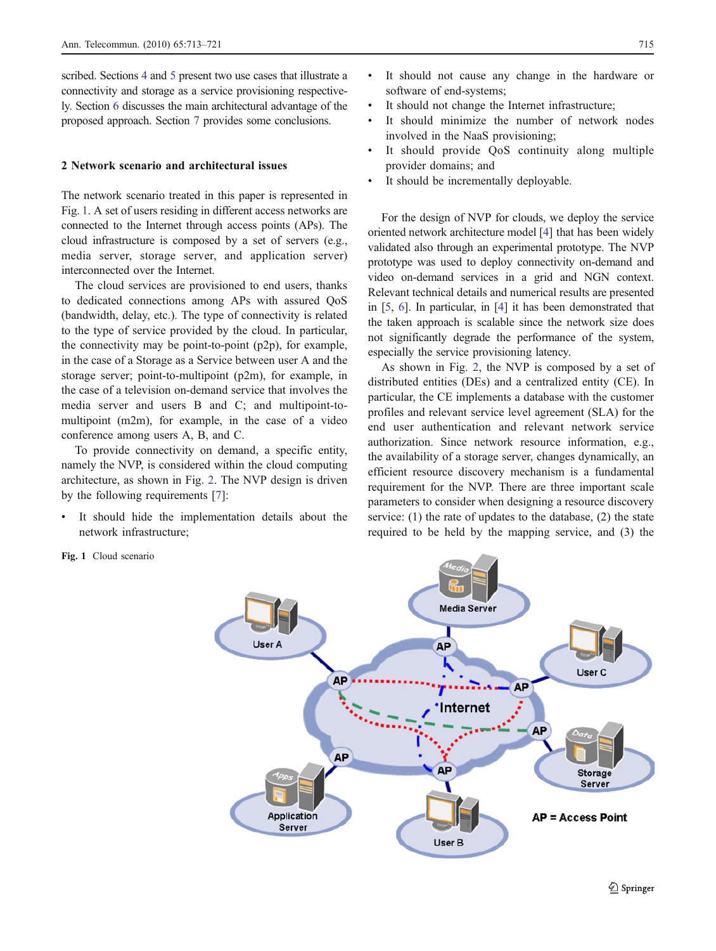<span id="page-2-0"></span>scribed. Sections [4](#page-5-0) and [5](#page-6-0) present two use cases that illustrate a connectivity and storage as a service provisioning respectively. Section [6](#page-7-0) discusses the main architectural advantage of the proposed approach. Section [7](#page-8-0) provides some conclusions.

# 2 Network scenario and architectural issues

The network scenario treated in this paper is represented in Fig. 1. A set of users residing in different access networks are connected to the Internet through access points (APs). The cloud infrastructure is composed by a set of servers (e.g., media server, storage server, and application server) interconnected over the Internet.

The cloud services are provisioned to end users, thanks to dedicated connections among APs with assured QoS (bandwidth, delay, etc.). The type of connectivity is related to the type of service provided by the cloud. In particular, the connectivity may be point-to-point (p2p), for example, in the case of a Storage as a Service between user A and the storage server; point-to-multipoint (p2m), for example, in the case of a television on-demand service that involves the media server and users B and C; and multipoint-tomultipoint (m2m), for example, in the case of a video conference among users A, B, and C.

To provide connectivity on demand, a specific entity, namely the NVP, is considered within the cloud computing architecture, as shown in Fig. [2](#page-3-0). The NVP design is driven by the following requirements [\[7](#page-8-0)]:

It should hide the implementation details about the network infrastructure;

- It should not cause any change in the hardware or software of end-systems;
- It should not change the Internet infrastructure;
- It should minimize the number of network nodes involved in the NaaS provisioning;
- It should provide QoS continuity along multiple provider domains; and
- It should be incrementally deployable.

For the design of NVP for clouds, we deploy the service oriented network architecture model [[4\]](#page-8-0) that has been widely validated also through an experimental prototype. The NVP prototype was used to deploy connectivity on-demand and video on-demand services in a grid and NGN context. Relevant technical details and numerical results are presented in [[5](#page-8-0), [6](#page-8-0)]. In particular, in [\[4](#page-8-0)] it has been demonstrated that the taken approach is scalable since the network size does not significantly degrade the performance of the system, especially the service provisioning latency.

As shown in Fig. [2](#page-3-0), the NVP is composed by a set of distributed entities (DEs) and a centralized entity (CE). In particular, the CE implements a database with the customer profiles and relevant service level agreement (SLA) for the end user authentication and relevant network service authorization. Since network resource information, e.g., the availability of a storage server, changes dynamically, an efficient resource discovery mechanism is a fundamental requirement for the NVP. There are three important scale parameters to consider when designing a resource discovery service: (1) the rate of updates to the database, (2) the state required to be held by the mapping service, and (3) the

Fig. 1 Cloud scenario

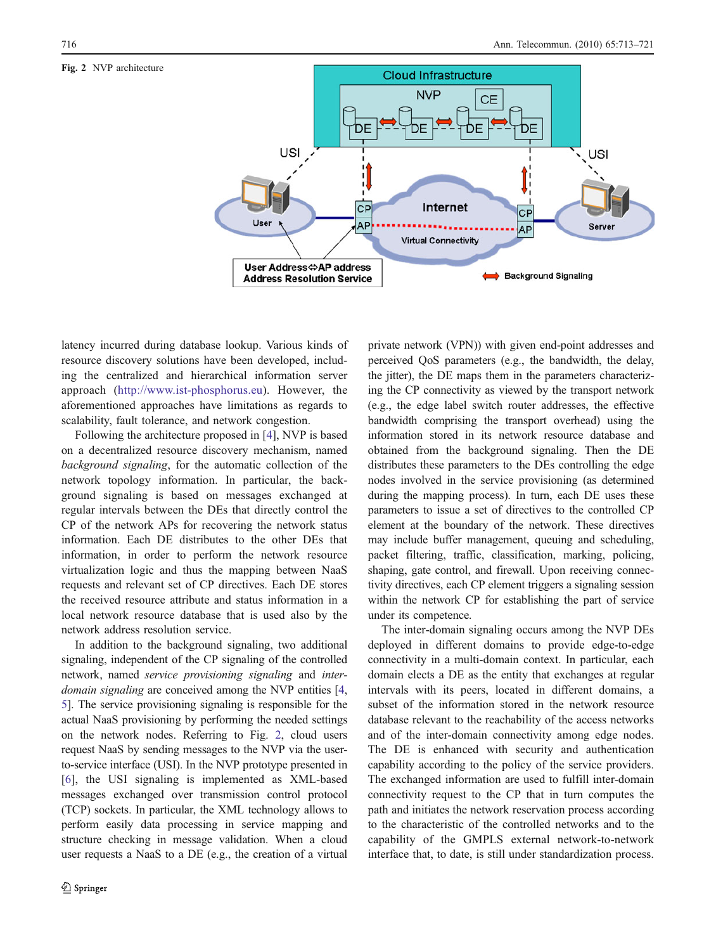#### <span id="page-3-0"></span>Fig. 2 NVP architecture



latency incurred during database lookup. Various kinds of resource discovery solutions have been developed, including the centralized and hierarchical information server approach ([http://www.ist-phosphorus.eu\)](http://www.ist-phosphorus.eu). However, the aforementioned approaches have limitations as regards to scalability, fault tolerance, and network congestion.

Following the architecture proposed in [[4\]](#page-8-0), NVP is based on a decentralized resource discovery mechanism, named background signaling, for the automatic collection of the network topology information. In particular, the background signaling is based on messages exchanged at regular intervals between the DEs that directly control the CP of the network APs for recovering the network status information. Each DE distributes to the other DEs that information, in order to perform the network resource virtualization logic and thus the mapping between NaaS requests and relevant set of CP directives. Each DE stores the received resource attribute and status information in a local network resource database that is used also by the network address resolution service.

In addition to the background signaling, two additional signaling, independent of the CP signaling of the controlled network, named service provisioning signaling and inter-domain signaling are conceived among the NVP entities [[4,](#page-8-0) [5\]](#page-8-0). The service provisioning signaling is responsible for the actual NaaS provisioning by performing the needed settings on the network nodes. Referring to Fig. 2, cloud users request NaaS by sending messages to the NVP via the userto-service interface (USI). In the NVP prototype presented in [\[6](#page-8-0)], the USI signaling is implemented as XML-based messages exchanged over transmission control protocol (TCP) sockets. In particular, the XML technology allows to perform easily data processing in service mapping and structure checking in message validation. When a cloud user requests a NaaS to a DE (e.g., the creation of a virtual private network (VPN)) with given end-point addresses and perceived QoS parameters (e.g., the bandwidth, the delay, the jitter), the DE maps them in the parameters characterizing the CP connectivity as viewed by the transport network (e.g., the edge label switch router addresses, the effective bandwidth comprising the transport overhead) using the information stored in its network resource database and obtained from the background signaling. Then the DE distributes these parameters to the DEs controlling the edge nodes involved in the service provisioning (as determined during the mapping process). In turn, each DE uses these parameters to issue a set of directives to the controlled CP element at the boundary of the network. These directives may include buffer management, queuing and scheduling, packet filtering, traffic, classification, marking, policing, shaping, gate control, and firewall. Upon receiving connectivity directives, each CP element triggers a signaling session within the network CP for establishing the part of service under its competence.

The inter-domain signaling occurs among the NVP DEs deployed in different domains to provide edge-to-edge connectivity in a multi-domain context. In particular, each domain elects a DE as the entity that exchanges at regular intervals with its peers, located in different domains, a subset of the information stored in the network resource database relevant to the reachability of the access networks and of the inter-domain connectivity among edge nodes. The DE is enhanced with security and authentication capability according to the policy of the service providers. The exchanged information are used to fulfill inter-domain connectivity request to the CP that in turn computes the path and initiates the network reservation process according to the characteristic of the controlled networks and to the capability of the GMPLS external network-to-network interface that, to date, is still under standardization process.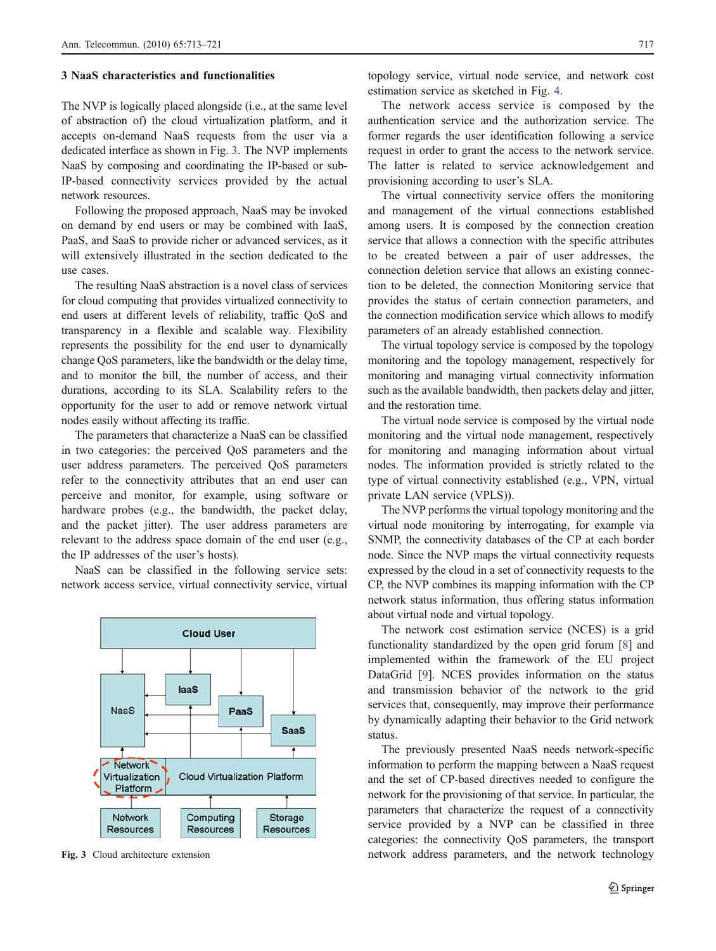#### <span id="page-4-0"></span>3 NaaS characteristics and functionalities

The NVP is logically placed alongside (i.e., at the same level of abstraction of) the cloud virtualization platform, and it accepts on-demand NaaS requests from the user via a dedicated interface as shown in Fig. 3. The NVP implements NaaS by composing and coordinating the IP-based or sub-IP-based connectivity services provided by the actual network resources.

Following the proposed approach, NaaS may be invoked on demand by end users or may be combined with IaaS, PaaS, and SaaS to provide richer or advanced services, as it will extensively illustrated in the section dedicated to the use cases.

The resulting NaaS abstraction is a novel class of services for cloud computing that provides virtualized connectivity to end users at different levels of reliability, traffic QoS and transparency in a flexible and scalable way. Flexibility represents the possibility for the end user to dynamically change QoS parameters, like the bandwidth or the delay time, and to monitor the bill, the number of access, and their durations, according to its SLA. Scalability refers to the opportunity for the user to add or remove network virtual nodes easily without affecting its traffic.

The parameters that characterize a NaaS can be classified in two categories: the perceived QoS parameters and the user address parameters. The perceived QoS parameters refer to the connectivity attributes that an end user can perceive and monitor, for example, using software or hardware probes (e.g., the bandwidth, the packet delay, and the packet jitter). The user address parameters are relevant to the address space domain of the end user (e.g., the IP addresses of the user's hosts).

NaaS can be classified in the following service sets: network access service, virtual connectivity service, virtual



topology service, virtual node service, and network cost estimation service as sketched in Fig. [4](#page-5-0).

The network access service is composed by the authentication service and the authorization service. The former regards the user identification following a service request in order to grant the access to the network service. The latter is related to service acknowledgement and provisioning according to user's SLA.

The virtual connectivity service offers the monitoring and management of the virtual connections established among users. It is composed by the connection creation service that allows a connection with the specific attributes to be created between a pair of user addresses, the connection deletion service that allows an existing connection to be deleted, the connection Monitoring service that provides the status of certain connection parameters, and the connection modification service which allows to modify parameters of an already established connection.

The virtual topology service is composed by the topology monitoring and the topology management, respectively for monitoring and managing virtual connectivity information such as the available bandwidth, then packets delay and jitter, and the restoration time.

The virtual node service is composed by the virtual node monitoring and the virtual node management, respectively for monitoring and managing information about virtual nodes. The information provided is strictly related to the type of virtual connectivity established (e.g., VPN, virtual private LAN service (VPLS)).

The NVP performs the virtual topology monitoring and the virtual node monitoring by interrogating, for example via SNMP, the connectivity databases of the CP at each border node. Since the NVP maps the virtual connectivity requests expressed by the cloud in a set of connectivity requests to the CP, the NVP combines its mapping information with the CP network status information, thus offering status information about virtual node and virtual topology.

The network cost estimation service (NCES) is a grid functionality standardized by the open grid forum [[8\]](#page-8-0) and implemented within the framework of the EU project DataGrid [\[9](#page-8-0)]. NCES provides information on the status and transmission behavior of the network to the grid services that, consequently, may improve their performance by dynamically adapting their behavior to the Grid network status.

The previously presented NaaS needs network-specific information to perform the mapping between a NaaS request and the set of CP-based directives needed to configure the network for the provisioning of that service. In particular, the parameters that characterize the request of a connectivity service provided by a NVP can be classified in three categories: the connectivity QoS parameters, the transport Fig. 3 Cloud architecture extension network address parameters, and the network technology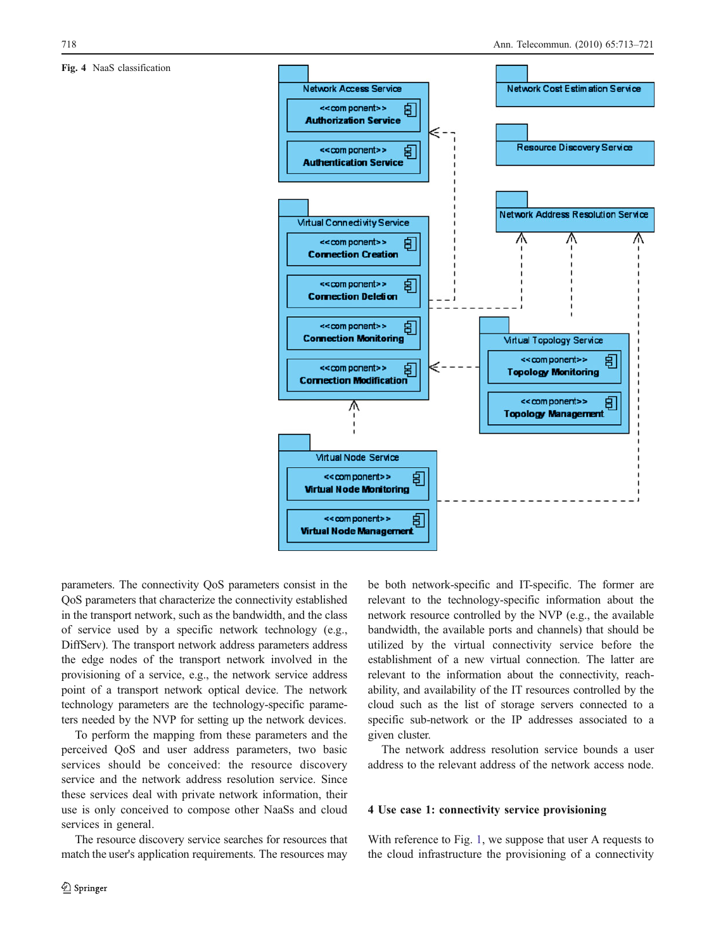#### <span id="page-5-0"></span>Fig. 4 NaaS classification



parameters. The connectivity QoS parameters consist in the QoS parameters that characterize the connectivity established in the transport network, such as the bandwidth, and the class of service used by a specific network technology (e.g., DiffServ). The transport network address parameters address the edge nodes of the transport network involved in the provisioning of a service, e.g., the network service address point of a transport network optical device. The network technology parameters are the technology-specific parameters needed by the NVP for setting up the network devices.

To perform the mapping from these parameters and the perceived QoS and user address parameters, two basic services should be conceived: the resource discovery service and the network address resolution service. Since these services deal with private network information, their use is only conceived to compose other NaaSs and cloud services in general.

The resource discovery service searches for resources that match the user's application requirements. The resources may be both network-specific and IT-specific. The former are relevant to the technology-specific information about the network resource controlled by the NVP (e.g., the available bandwidth, the available ports and channels) that should be utilized by the virtual connectivity service before the establishment of a new virtual connection. The latter are relevant to the information about the connectivity, reachability, and availability of the IT resources controlled by the cloud such as the list of storage servers connected to a specific sub-network or the IP addresses associated to a given cluster.

The network address resolution service bounds a user address to the relevant address of the network access node.

#### 4 Use case 1: connectivity service provisioning

With reference to Fig. [1](#page-2-0), we suppose that user A requests to the cloud infrastructure the provisioning of a connectivity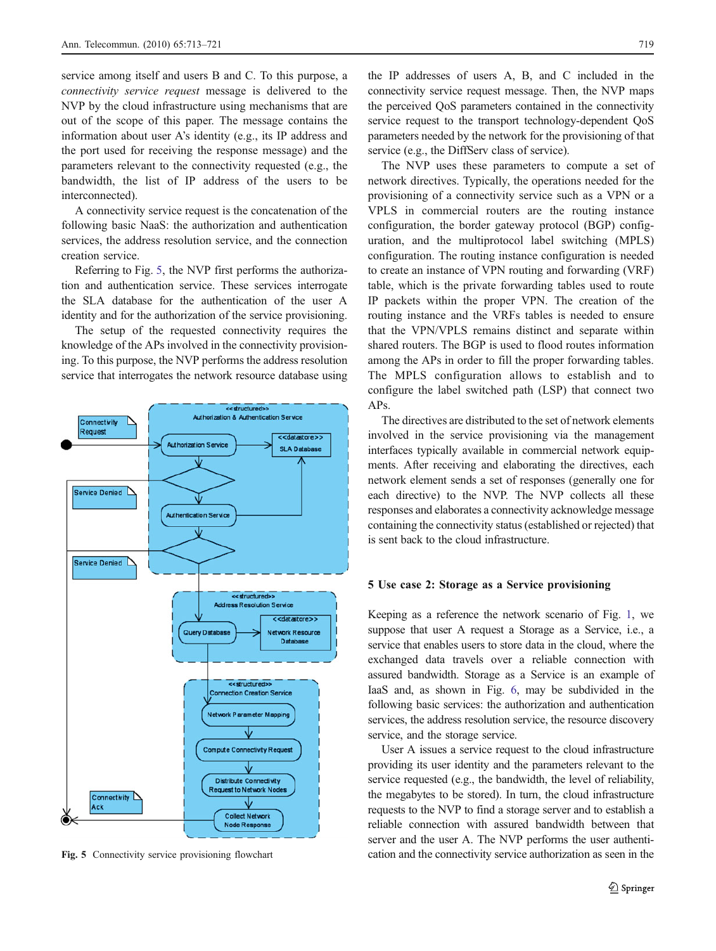<span id="page-6-0"></span>service among itself and users B and C. To this purpose, a connectivity service request message is delivered to the NVP by the cloud infrastructure using mechanisms that are out of the scope of this paper. The message contains the information about user A's identity (e.g., its IP address and the port used for receiving the response message) and the parameters relevant to the connectivity requested (e.g., the bandwidth, the list of IP address of the users to be interconnected).

A connectivity service request is the concatenation of the following basic NaaS: the authorization and authentication services, the address resolution service, and the connection creation service.

Referring to Fig. 5, the NVP first performs the authorization and authentication service. These services interrogate the SLA database for the authentication of the user A identity and for the authorization of the service provisioning.

The setup of the requested connectivity requires the knowledge of the APs involved in the connectivity provisioning. To this purpose, the NVP performs the address resolution service that interrogates the network resource database using



the IP addresses of users A, B, and C included in the connectivity service request message. Then, the NVP maps the perceived QoS parameters contained in the connectivity service request to the transport technology-dependent QoS parameters needed by the network for the provisioning of that service (e.g., the DiffServ class of service).

The NVP uses these parameters to compute a set of network directives. Typically, the operations needed for the provisioning of a connectivity service such as a VPN or a VPLS in commercial routers are the routing instance configuration, the border gateway protocol (BGP) configuration, and the multiprotocol label switching (MPLS) configuration. The routing instance configuration is needed to create an instance of VPN routing and forwarding (VRF) table, which is the private forwarding tables used to route IP packets within the proper VPN. The creation of the routing instance and the VRFs tables is needed to ensure that the VPN/VPLS remains distinct and separate within shared routers. The BGP is used to flood routes information among the APs in order to fill the proper forwarding tables. The MPLS configuration allows to establish and to configure the label switched path (LSP) that connect two APs.

The directives are distributed to the set of network elements involved in the service provisioning via the management interfaces typically available in commercial network equipments. After receiving and elaborating the directives, each network element sends a set of responses (generally one for each directive) to the NVP. The NVP collects all these responses and elaborates a connectivity acknowledge message containing the connectivity status (established or rejected) that is sent back to the cloud infrastructure.

#### 5 Use case 2: Storage as a Service provisioning

Keeping as a reference the network scenario of Fig. [1,](#page-2-0) we suppose that user A request a Storage as a Service, i.e., a service that enables users to store data in the cloud, where the exchanged data travels over a reliable connection with assured bandwidth. Storage as a Service is an example of IaaS and, as shown in Fig. [6,](#page-7-0) may be subdivided in the following basic services: the authorization and authentication services, the address resolution service, the resource discovery service, and the storage service.

User A issues a service request to the cloud infrastructure providing its user identity and the parameters relevant to the service requested (e.g., the bandwidth, the level of reliability, the megabytes to be stored). In turn, the cloud infrastructure requests to the NVP to find a storage server and to establish a reliable connection with assured bandwidth between that server and the user A. The NVP performs the user authenti-Fig. 5 Connectivity service provisioning flowchart cation and the connectivity service authorization as seen in the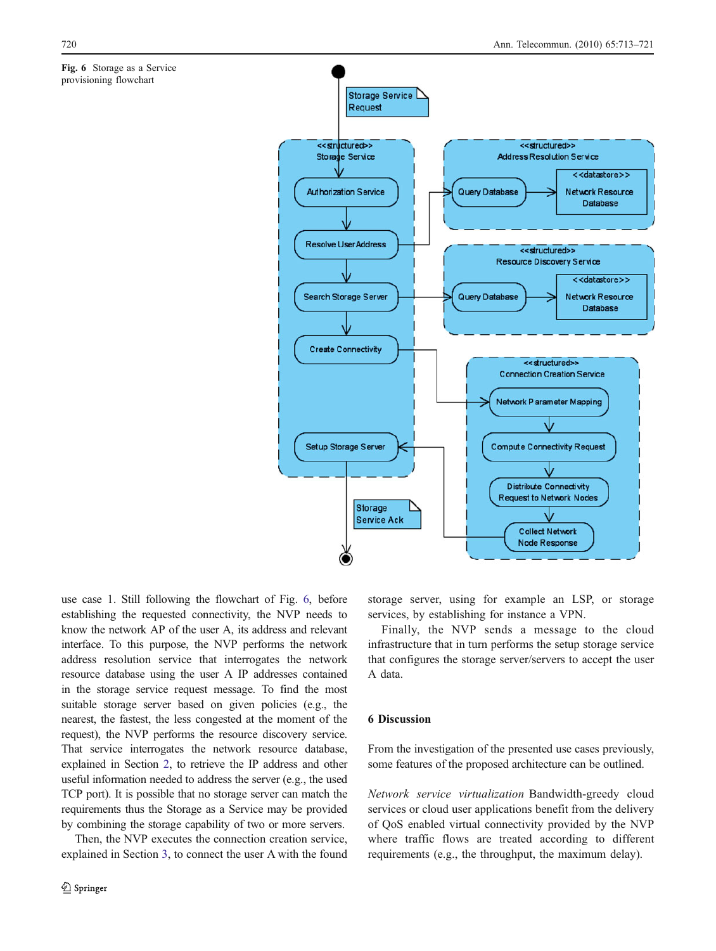<span id="page-7-0"></span>Fig. 6 Storage as a Service provisioning flowchart



use case 1. Still following the flowchart of Fig. 6, before establishing the requested connectivity, the NVP needs to know the network AP of the user A, its address and relevant interface. To this purpose, the NVP performs the network address resolution service that interrogates the network resource database using the user A IP addresses contained in the storage service request message. To find the most suitable storage server based on given policies (e.g., the nearest, the fastest, the less congested at the moment of the request), the NVP performs the resource discovery service. That service interrogates the network resource database, explained in Section [2,](#page-2-0) to retrieve the IP address and other useful information needed to address the server (e.g., the used TCP port). It is possible that no storage server can match the requirements thus the Storage as a Service may be provided by combining the storage capability of two or more servers.

Then, the NVP executes the connection creation service, explained in Section [3,](#page-4-0) to connect the user A with the found storage server, using for example an LSP, or storage services, by establishing for instance a VPN.

Finally, the NVP sends a message to the cloud infrastructure that in turn performs the setup storage service that configures the storage server/servers to accept the user A data.

#### 6 Discussion

From the investigation of the presented use cases previously, some features of the proposed architecture can be outlined.

Network service virtualization Bandwidth-greedy cloud services or cloud user applications benefit from the delivery of QoS enabled virtual connectivity provided by the NVP where traffic flows are treated according to different requirements (e.g., the throughput, the maximum delay).